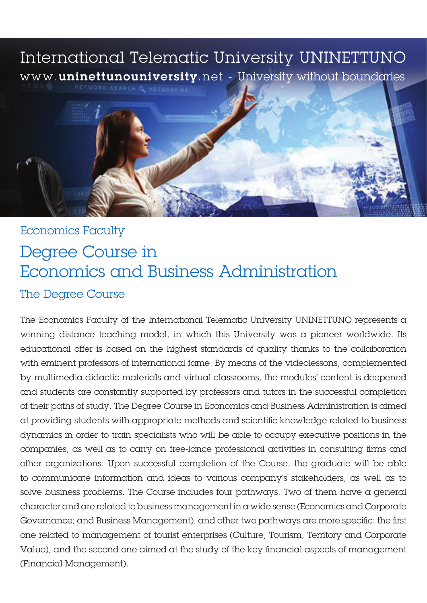# International Telematic University UNINETTUNO www.uninettunouniversity.net - University without boundaries



# **Economics Faculty** Degree Course in Economics and Business Administration The Degree Course

The Economics Faculty of the International Telematic University UNINETTUNO represents  $\alpha$ winning distance teaching model, in which this University was a pioneer worldwide. Its educational offer is based on the highest standards of quality thanks to the collaboration with eminent professors of international fame. By means of the videolessons, complemented by multimedia didactic materials and virtual classrooms, the modules' content is deepened and students are constantly supported by professors and tutors in the successful completion of their paths of study. The Degree Course in Economics and Business Administration is aimed at providing students with appropriate methods and scientific knowledge related to business dynamics in order to train specialists who will be able to occupy executive positions in the companies, as well as to carry on free-lance professional activities in consulting firms and other organizations. Upon successful completion of the Course, the graduate will be able to communicate information and ideas to various company's stakeholders, as well as to solve business problems. The Course includes four pathways. Two of them have a general character and are related to business management in a wide sense (Economics and Corporate Governance; and Business Management), and other two pathways are more specific: the first one related to management of tourist enterprises (Culture, Tourism, Territory and Corporate Value), and the second one aimed at the study of the key financial aspects of management (Financial Management).